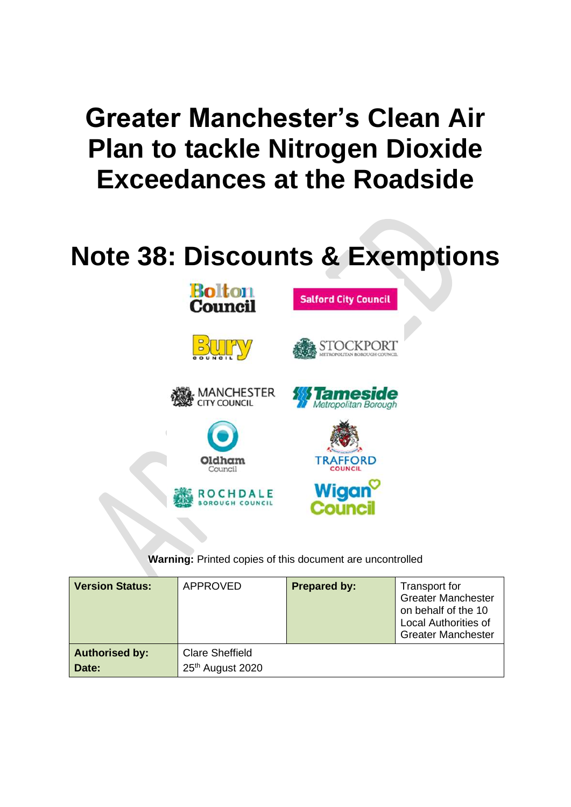# **Greater Manchester's Clean Air Plan to tackle Nitrogen Dioxide Exceedances at the Roadside**

# **Note 38: Discounts & Exemptions**



**BOROUGH COUNCIL** 

**Warning:** Printed copies of this document are uncontrolled

Counc

| <b>Version Status:</b>         | APPROVED                                   | <b>Prepared by:</b> | Transport for<br><b>Greater Manchester</b><br>on behalf of the 10<br><b>Local Authorities of</b><br><b>Greater Manchester</b> |
|--------------------------------|--------------------------------------------|---------------------|-------------------------------------------------------------------------------------------------------------------------------|
| <b>Authorised by:</b><br>Date: | <b>Clare Sheffield</b><br>25th August 2020 |                     |                                                                                                                               |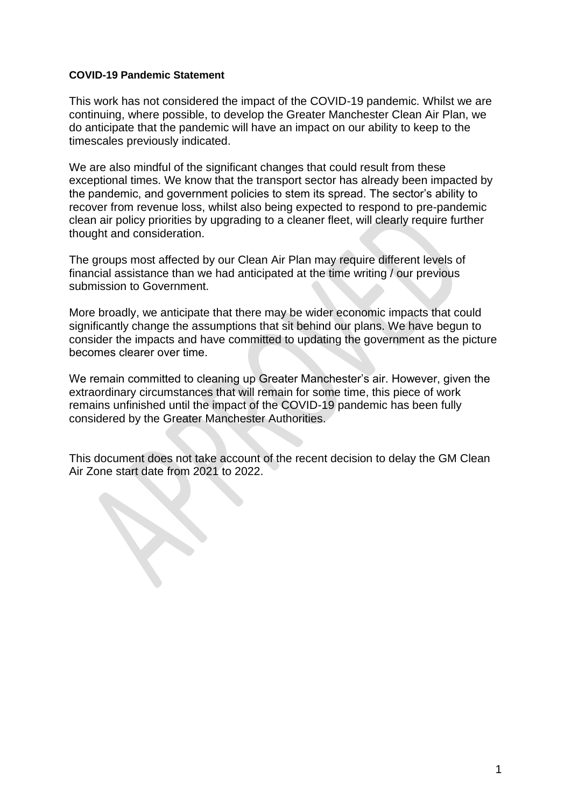### **COVID-19 Pandemic Statement**

E.

This work has not considered the impact of the COVID-19 pandemic. Whilst we are continuing, where possible, to develop the Greater Manchester Clean Air Plan, we do anticipate that the pandemic will have an impact on our ability to keep to the timescales previously indicated.

We are also mindful of the significant changes that could result from these exceptional times. We know that the transport sector has already been impacted by the pandemic, and government policies to stem its spread. The sector's ability to recover from revenue loss, whilst also being expected to respond to pre-pandemic clean air policy priorities by upgrading to a cleaner fleet, will clearly require further thought and consideration.

The groups most affected by our Clean Air Plan may require different levels of financial assistance than we had anticipated at the time writing / our previous submission to Government.

More broadly, we anticipate that there may be wider economic impacts that could significantly change the assumptions that sit behind our plans. We have begun to consider the impacts and have committed to updating the government as the picture becomes clearer over time. 

We remain committed to cleaning up Greater Manchester's air. However, given the extraordinary circumstances that will remain for some time, this piece of work remains unfinished until the impact of the COVID-19 pandemic has been fully considered by the Greater Manchester Authorities.

This document does not take account of the recent decision to delay the GM Clean Air Zone start date from 2021 to 2022.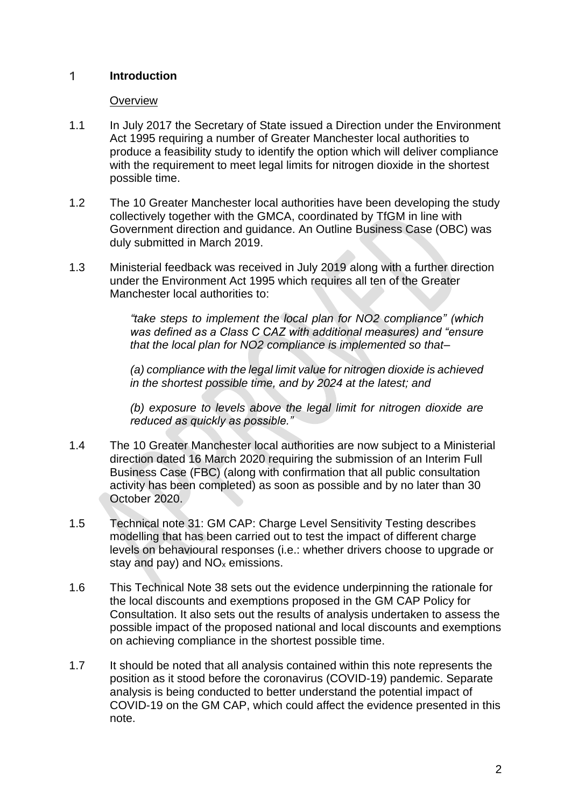#### 1. **Introduction**

# **Overview**

- 1.1 In July 2017 the Secretary of State issued a Direction under the Environment Act 1995 requiring a number of Greater Manchester local authorities to produce a feasibility study to identify the option which will deliver compliance with the requirement to meet legal limits for nitrogen dioxide in the shortest possible time.
- 1.2 The 10 Greater Manchester local authorities have been developing the study collectively together with the GMCA, coordinated by TfGM in line with Government direction and guidance. An Outline Business Case (OBC) was duly submitted in March 2019.
- 1.3 Ministerial feedback was received in July 2019 along with a further direction under the Environment Act 1995 which requires all ten of the Greater Manchester local authorities to:

*"take steps to implement the local plan for NO2 compliance" (which was defined as a Class C CAZ with additional measures) and "ensure that the local plan for NO2 compliance is implemented so that–*

*(a) compliance with the legal limit value for nitrogen dioxide is achieved in the shortest possible time, and by 2024 at the latest; and* 

*(b) exposure to levels above the legal limit for nitrogen dioxide are reduced as quickly as possible."* 

- 1.4 The 10 Greater Manchester local authorities are now subject to a Ministerial direction dated 16 March 2020 requiring the submission of an Interim Full Business Case (FBC) (along with confirmation that all public consultation activity has been completed) as soon as possible and by no later than 30 October 2020.
- 1.5 Technical note 31: GM CAP: Charge Level Sensitivity Testing describes modelling that has been carried out to test the impact of different charge levels on behavioural responses (i.e.: whether drivers choose to upgrade or stay and pay) and  $NO<sub>x</sub>$  emissions.
- 1.6 This Technical Note 38 sets out the evidence underpinning the rationale for the local discounts and exemptions proposed in the GM CAP Policy for Consultation. It also sets out the results of analysis undertaken to assess the possible impact of the proposed national and local discounts and exemptions on achieving compliance in the shortest possible time.
- 1.7 It should be noted that all analysis contained within this note represents the position as it stood before the coronavirus (COVID-19) pandemic. Separate analysis is being conducted to better understand the potential impact of COVID-19 on the GM CAP, which could affect the evidence presented in this note.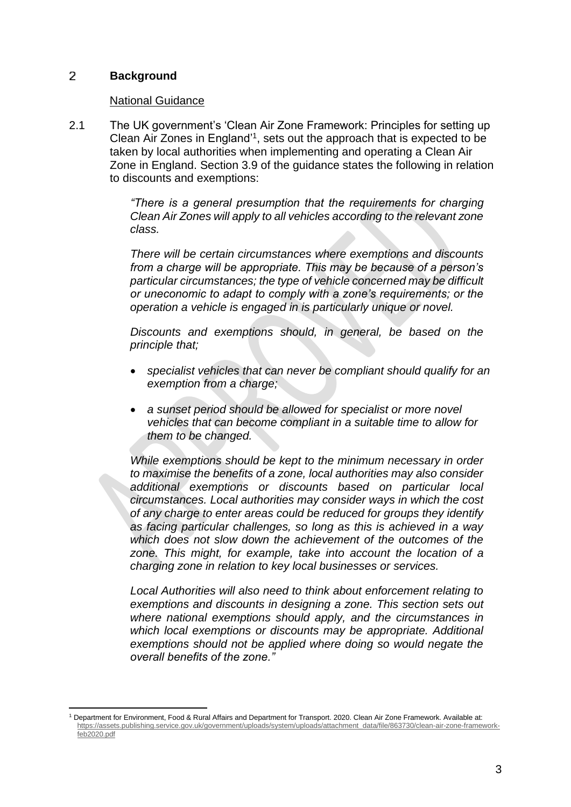#### 2 **Background**

# National Guidance

2.1 The UK government's 'Clean Air Zone Framework: Principles for setting up Clean Air Zones in England<sup>'1</sup>, sets out the approach that is expected to be taken by local authorities when implementing and operating a Clean Air Zone in England. Section 3.9 of the guidance states the following in relation to discounts and exemptions:

> *"There is a general presumption that the requirements for charging Clean Air Zones will apply to all vehicles according to the relevant zone class.*

> *There will be certain circumstances where exemptions and discounts from a charge will be appropriate. This may be because of a person's particular circumstances; the type of vehicle concerned may be difficult or uneconomic to adapt to comply with a zone's requirements; or the operation a vehicle is engaged in is particularly unique or novel.*

> *Discounts and exemptions should, in general, be based on the principle that;*

- *specialist vehicles that can never be compliant should qualify for an exemption from a charge;*
- *a sunset period should be allowed for specialist or more novel vehicles that can become compliant in a suitable time to allow for them to be changed.*

*While exemptions should be kept to the minimum necessary in order to maximise the benefits of a zone, local authorities may also consider additional exemptions or discounts based on particular local circumstances. Local authorities may consider ways in which the cost of any charge to enter areas could be reduced for groups they identify as facing particular challenges, so long as this is achieved in a way which does not slow down the achievement of the outcomes of the zone. This might, for example, take into account the location of a charging zone in relation to key local businesses or services.* 

*Local Authorities will also need to think about enforcement relating to exemptions and discounts in designing a zone. This section sets out where national exemptions should apply, and the circumstances in which local exemptions or discounts may be appropriate. Additional exemptions should not be applied where doing so would negate the overall benefits of the zone."*

<sup>1</sup> Department for Environment, Food & Rural Affairs and Department for Transport. 2020. Clean Air Zone Framework. Available at: [https://assets.publishing.service.gov.uk/government/uploads/system/uploads/attachment\\_data/file/863730/clean-air-zone-framework](https://assets.publishing.service.gov.uk/government/uploads/system/uploads/attachment_data/file/863730/clean-air-zone-framework-feb2020.pdf)[feb2020.pdf](https://assets.publishing.service.gov.uk/government/uploads/system/uploads/attachment_data/file/863730/clean-air-zone-framework-feb2020.pdf)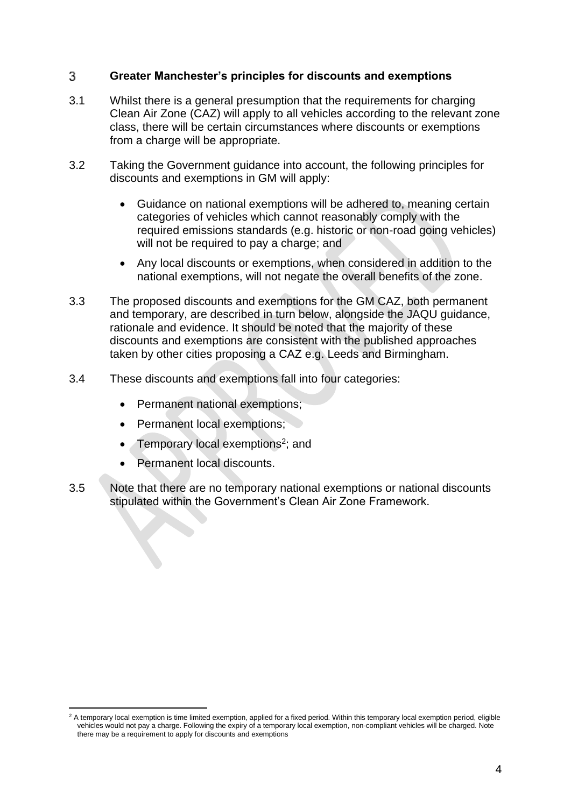#### **Greater Manchester's principles for discounts and exemptions** 3

- 3.1 Whilst there is a general presumption that the requirements for charging Clean Air Zone (CAZ) will apply to all vehicles according to the relevant zone class, there will be certain circumstances where discounts or exemptions from a charge will be appropriate.
- 3.2 Taking the Government guidance into account, the following principles for discounts and exemptions in GM will apply:
	- Guidance on national exemptions will be adhered to, meaning certain categories of vehicles which cannot reasonably comply with the required emissions standards (e.g. historic or non-road going vehicles) will not be required to pay a charge; and
	- Any local discounts or exemptions, when considered in addition to the national exemptions, will not negate the overall benefits of the zone.
- 3.3 The proposed discounts and exemptions for the GM CAZ, both permanent and temporary, are described in turn below, alongside the JAQU guidance, rationale and evidence. It should be noted that the majority of these discounts and exemptions are consistent with the published approaches taken by other cities proposing a CAZ e.g. Leeds and Birmingham.
- 3.4 These discounts and exemptions fall into four categories:
	- Permanent national exemptions;
	- Permanent local exemptions;
	- Temporary local exemptions<sup>2</sup>; and
	- Permanent local discounts.
- 3.5 Note that there are no temporary national exemptions or national discounts stipulated within the Government's Clean Air Zone Framework.

<sup>&</sup>lt;sup>2</sup> A temporary local exemption is time limited exemption, applied for a fixed period. Within this temporary local exemption period, eligible vehicles would not pay a charge. Following the expiry of a temporary local exemption, non-compliant vehicles will be charged. Note there may be a requirement to apply for discounts and exemptions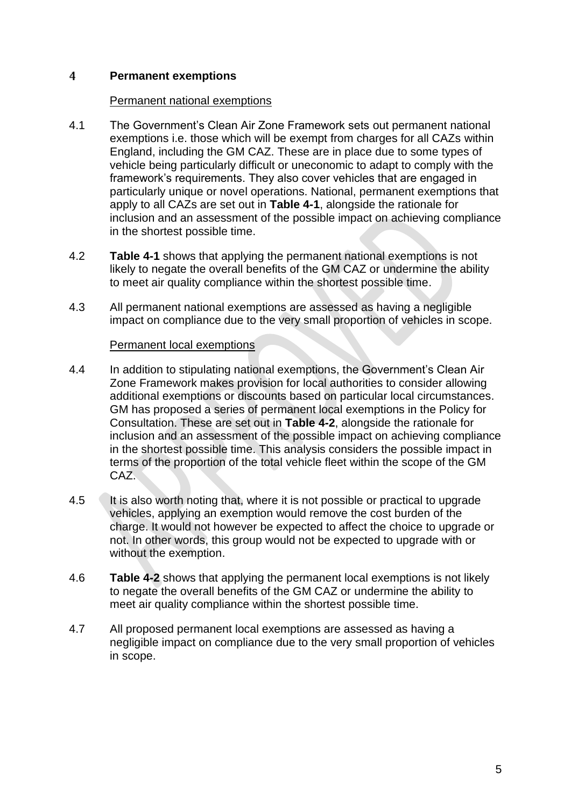#### $\overline{4}$ **Permanent exemptions**

## Permanent national exemptions

- 4.1 The Government's Clean Air Zone Framework sets out permanent national exemptions i.e. those which will be exempt from charges for all CAZs within England, including the GM CAZ. These are in place due to some types of vehicle being particularly difficult or uneconomic to adapt to comply with the framework's requirements. They also cover vehicles that are engaged in particularly unique or novel operations. National, permanent exemptions that apply to all CAZs are set out in **Table 4-1**, alongside the rationale for inclusion and an assessment of the possible impact on achieving compliance in the shortest possible time.
- 4.2 **Table 4-1** shows that applying the permanent national exemptions is not likely to negate the overall benefits of the GM CAZ or undermine the ability to meet air quality compliance within the shortest possible time.
- 4.3 All permanent national exemptions are assessed as having a negligible impact on compliance due to the very small proportion of vehicles in scope.

# Permanent local exemptions

- 4.4 In addition to stipulating national exemptions, the Government's Clean Air Zone Framework makes provision for local authorities to consider allowing additional exemptions or discounts based on particular local circumstances. GM has proposed a series of permanent local exemptions in the Policy for Consultation. These are set out in **Table 4-2**, alongside the rationale for inclusion and an assessment of the possible impact on achieving compliance in the shortest possible time. This analysis considers the possible impact in terms of the proportion of the total vehicle fleet within the scope of the GM CAZ.
- 4.5 It is also worth noting that, where it is not possible or practical to upgrade vehicles, applying an exemption would remove the cost burden of the charge. It would not however be expected to affect the choice to upgrade or not. In other words, this group would not be expected to upgrade with or without the exemption.
- 4.6 **Table 4-2** shows that applying the permanent local exemptions is not likely to negate the overall benefits of the GM CAZ or undermine the ability to meet air quality compliance within the shortest possible time.
- 4.7 All proposed permanent local exemptions are assessed as having a negligible impact on compliance due to the very small proportion of vehicles in scope.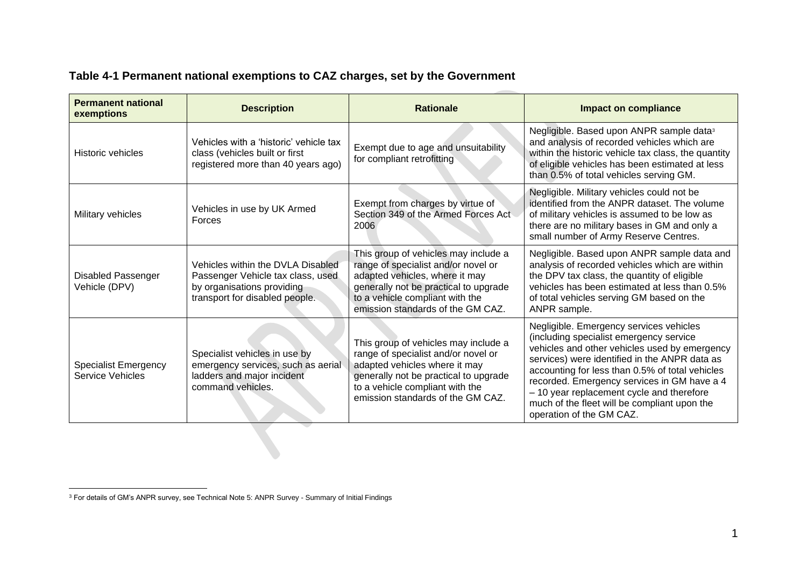| Table 4-1 Permanent national exemptions to GAZ charges, set by the Government |                    |                  |              |  |  |
|-------------------------------------------------------------------------------|--------------------|------------------|--------------|--|--|
|                                                                               |                    |                  |              |  |  |
| <b>Permanent national</b><br>exemptions                                       | <b>Description</b> | <b>Rationale</b> | <b>Impac</b> |  |  |

# **Table 4-1 Permanent national exemptions to CAZ charges, set by the Government**

| Permanent national<br>exemptions                       | <b>Description</b>                                                                                                                     | <b>Rationale</b>                                                                                                                                                                                                               | <b>Impact on compliance</b>                                                                                                                                                                                                                                                                                                                                                                                     |
|--------------------------------------------------------|----------------------------------------------------------------------------------------------------------------------------------------|--------------------------------------------------------------------------------------------------------------------------------------------------------------------------------------------------------------------------------|-----------------------------------------------------------------------------------------------------------------------------------------------------------------------------------------------------------------------------------------------------------------------------------------------------------------------------------------------------------------------------------------------------------------|
| <b>Historic vehicles</b>                               | Vehicles with a 'historic' vehicle tax<br>class (vehicles built or first<br>registered more than 40 years ago)                         | Exempt due to age and unsuitability<br>for compliant retrofitting                                                                                                                                                              | Negligible. Based upon ANPR sample data <sup>3</sup><br>and analysis of recorded vehicles which are<br>within the historic vehicle tax class, the quantity<br>of eligible vehicles has been estimated at less<br>than 0.5% of total vehicles serving GM.                                                                                                                                                        |
| Military vehicles                                      | Vehicles in use by UK Armed<br>Forces                                                                                                  | Exempt from charges by virtue of<br>Section 349 of the Armed Forces Act<br>2006                                                                                                                                                | Negligible. Military vehicles could not be<br>identified from the ANPR dataset. The volume<br>of military vehicles is assumed to be low as<br>there are no military bases in GM and only a<br>small number of Army Reserve Centres.                                                                                                                                                                             |
| <b>Disabled Passenger</b><br>Vehicle (DPV)             | Vehicles within the DVLA Disabled<br>Passenger Vehicle tax class, used<br>by organisations providing<br>transport for disabled people. | This group of vehicles may include a<br>range of specialist and/or novel or<br>adapted vehicles, where it may<br>generally not be practical to upgrade<br>to a vehicle compliant with the<br>emission standards of the GM CAZ. | Negligible. Based upon ANPR sample data and<br>analysis of recorded vehicles which are within<br>the DPV tax class, the quantity of eligible<br>vehicles has been estimated at less than 0.5%<br>of total vehicles serving GM based on the<br>ANPR sample.                                                                                                                                                      |
| <b>Specialist Emergency</b><br><b>Service Vehicles</b> | Specialist vehicles in use by<br>emergency services, such as aerial<br>ladders and major incident<br>command vehicles.                 | This group of vehicles may include a<br>range of specialist and/or novel or<br>adapted vehicles where it may<br>generally not be practical to upgrade<br>to a vehicle compliant with the<br>emission standards of the GM CAZ.  | Negligible. Emergency services vehicles<br>(including specialist emergency service<br>vehicles and other vehicles used by emergency<br>services) were identified in the ANPR data as<br>accounting for less than 0.5% of total vehicles<br>recorded. Emergency services in GM have a 4<br>- 10 year replacement cycle and therefore<br>much of the fleet will be compliant upon the<br>operation of the GM CAZ. |

<sup>&</sup>lt;sup>3</sup> For details of GM's ANPR survey, see Technical Note 5: ANPR Survey - Summary of Initial Findings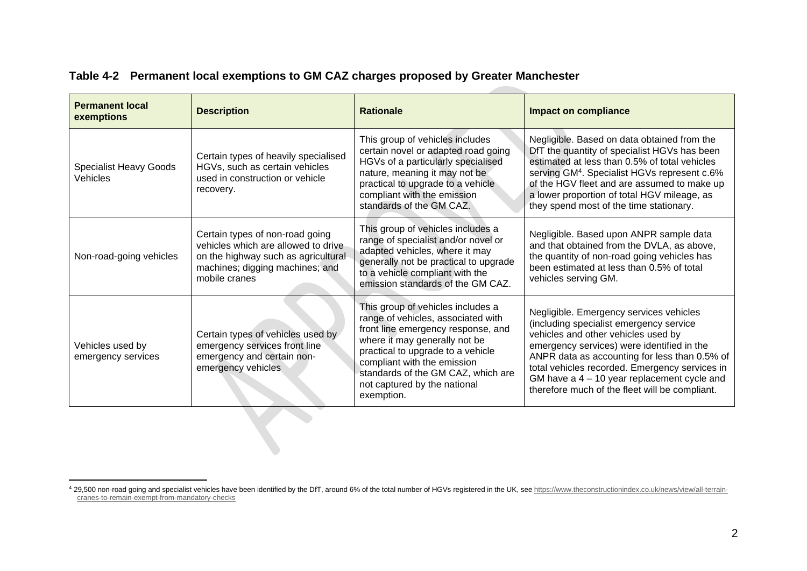| <b>Permanent local</b><br>exemptions      | <b>Description</b>                                                                                                                                                | <b>Rationale</b>                                                                                                                                                                                                                                                                                       | <b>Impact on compliance</b>                                                                                                                                                                                                                                                                                                                                                   |
|-------------------------------------------|-------------------------------------------------------------------------------------------------------------------------------------------------------------------|--------------------------------------------------------------------------------------------------------------------------------------------------------------------------------------------------------------------------------------------------------------------------------------------------------|-------------------------------------------------------------------------------------------------------------------------------------------------------------------------------------------------------------------------------------------------------------------------------------------------------------------------------------------------------------------------------|
| <b>Specialist Heavy Goods</b><br>Vehicles | Certain types of heavily specialised<br>HGVs, such as certain vehicles<br>used in construction or vehicle<br>recovery.                                            | This group of vehicles includes<br>certain novel or adapted road going<br>HGVs of a particularly specialised<br>nature, meaning it may not be<br>practical to upgrade to a vehicle<br>compliant with the emission<br>standards of the GM CAZ.                                                          | Negligible. Based on data obtained from the<br>DfT the quantity of specialist HGVs has been<br>estimated at less than 0.5% of total vehicles<br>serving GM <sup>4</sup> . Specialist HGVs represent c.6%<br>of the HGV fleet and are assumed to make up<br>a lower proportion of total HGV mileage, as<br>they spend most of the time stationary.                             |
| Non-road-going vehicles                   | Certain types of non-road going<br>vehicles which are allowed to drive<br>on the highway such as agricultural<br>machines; digging machines; and<br>mobile cranes | This group of vehicles includes a<br>range of specialist and/or novel or<br>adapted vehicles, where it may<br>generally not be practical to upgrade<br>to a vehicle compliant with the<br>emission standards of the GM CAZ.                                                                            | Negligible. Based upon ANPR sample data<br>and that obtained from the DVLA, as above,<br>the quantity of non-road going vehicles has<br>been estimated at less than 0.5% of total<br>vehicles serving GM.                                                                                                                                                                     |
| Vehicles used by<br>emergency services    | Certain types of vehicles used by<br>emergency services front line<br>emergency and certain non-<br>emergency vehicles                                            | This group of vehicles includes a<br>range of vehicles, associated with<br>front line emergency response, and<br>where it may generally not be<br>practical to upgrade to a vehicle<br>compliant with the emission<br>standards of the GM CAZ, which are<br>not captured by the national<br>exemption. | Negligible. Emergency services vehicles<br>(including specialist emergency service<br>vehicles and other vehicles used by<br>emergency services) were identified in the<br>ANPR data as accounting for less than 0.5% of<br>total vehicles recorded. Emergency services in<br>GM have a $4 - 10$ year replacement cycle and<br>therefore much of the fleet will be compliant. |
|                                           |                                                                                                                                                                   |                                                                                                                                                                                                                                                                                                        |                                                                                                                                                                                                                                                                                                                                                                               |

# **Table 4-2 Permanent local exemptions to GM CAZ charges proposed by Greater Manchester**

<sup>4</sup> 29,500 non-road going and specialist vehicles have been identified by the DfT, around 6% of the total number of HGVs registered in the UK, se[e https://www.theconstructionindex.co.uk/news/view/all-terrain](https://www.theconstructionindex.co.uk/news/view/all-terrain-cranes-to-remain-exempt-from-mandatory-checks)[cranes-to-remain-exempt-from-mandatory-checks](https://www.theconstructionindex.co.uk/news/view/all-terrain-cranes-to-remain-exempt-from-mandatory-checks)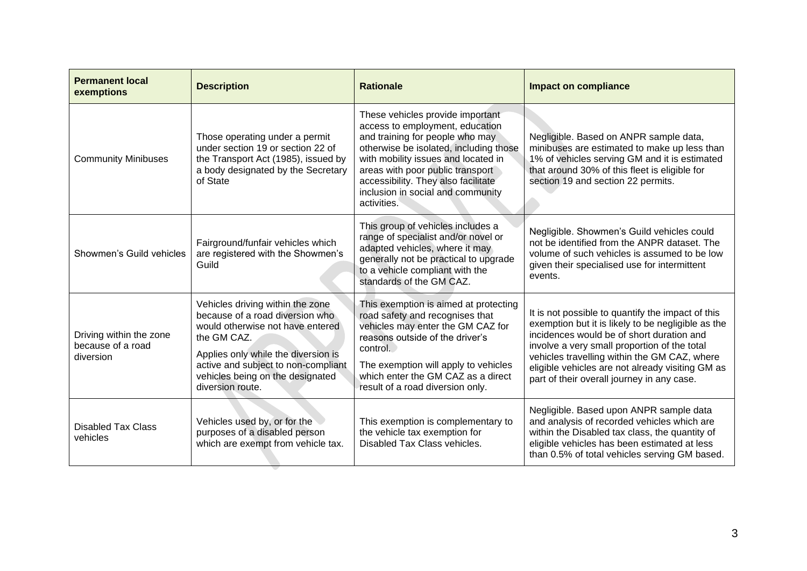| <b>Permanent local</b><br>exemptions                      | <b>Description</b>                                                                                                                                                                                                                                           | <b>Rationale</b>                                                                                                                                                                                                                                                                                                       | <b>Impact on compliance</b>                                                                                                                                                                                                                                                                                                                            |
|-----------------------------------------------------------|--------------------------------------------------------------------------------------------------------------------------------------------------------------------------------------------------------------------------------------------------------------|------------------------------------------------------------------------------------------------------------------------------------------------------------------------------------------------------------------------------------------------------------------------------------------------------------------------|--------------------------------------------------------------------------------------------------------------------------------------------------------------------------------------------------------------------------------------------------------------------------------------------------------------------------------------------------------|
| <b>Community Minibuses</b>                                | Those operating under a permit<br>under section 19 or section 22 of<br>the Transport Act (1985), issued by<br>a body designated by the Secretary<br>of State                                                                                                 | These vehicles provide important<br>access to employment, education<br>and training for people who may<br>otherwise be isolated, including those<br>with mobility issues and located in<br>areas with poor public transport<br>accessibility. They also facilitate<br>inclusion in social and community<br>activities. | Negligible. Based on ANPR sample data,<br>minibuses are estimated to make up less than<br>1% of vehicles serving GM and it is estimated<br>that around 30% of this fleet is eligible for<br>section 19 and section 22 permits.                                                                                                                         |
| Showmen's Guild vehicles                                  | Fairground/funfair vehicles which<br>are registered with the Showmen's<br>Guild                                                                                                                                                                              | This group of vehicles includes a<br>range of specialist and/or novel or<br>adapted vehicles, where it may<br>generally not be practical to upgrade<br>to a vehicle compliant with the<br>standards of the GM CAZ.                                                                                                     | Negligible. Showmen's Guild vehicles could<br>not be identified from the ANPR dataset. The<br>volume of such vehicles is assumed to be low<br>given their specialised use for intermittent<br>events.                                                                                                                                                  |
| Driving within the zone<br>because of a road<br>diversion | Vehicles driving within the zone<br>because of a road diversion who<br>would otherwise not have entered<br>the GM CAZ.<br>Applies only while the diversion is<br>active and subject to non-compliant<br>vehicles being on the designated<br>diversion route. | This exemption is aimed at protecting<br>road safety and recognises that<br>vehicles may enter the GM CAZ for<br>reasons outside of the driver's<br>control.<br>The exemption will apply to vehicles<br>which enter the GM CAZ as a direct<br>result of a road diversion only.                                         | It is not possible to quantify the impact of this<br>exemption but it is likely to be negligible as the<br>incidences would be of short duration and<br>involve a very small proportion of the total<br>vehicles travelling within the GM CAZ, where<br>eligible vehicles are not already visiting GM as<br>part of their overall journey in any case. |
| <b>Disabled Tax Class</b><br>vehicles                     | Vehicles used by, or for the<br>purposes of a disabled person<br>which are exempt from vehicle tax.                                                                                                                                                          | This exemption is complementary to<br>the vehicle tax exemption for<br>Disabled Tax Class vehicles.                                                                                                                                                                                                                    | Negligible. Based upon ANPR sample data<br>and analysis of recorded vehicles which are<br>within the Disabled tax class, the quantity of<br>eligible vehicles has been estimated at less<br>than 0.5% of total vehicles serving GM based.                                                                                                              |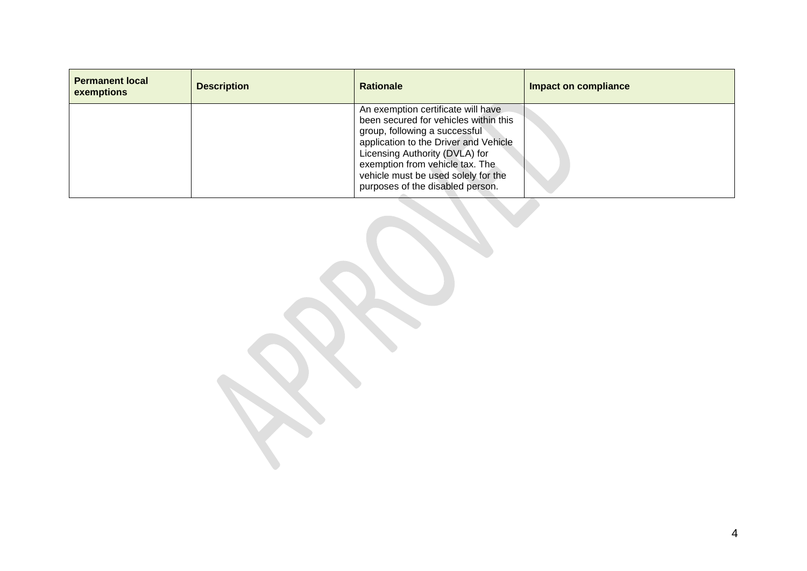| <b>Permanent local</b><br>exemptions | <b>Description</b> | <b>Rationale</b>                                                                                                                                                                                                                                                                                      | <b>Impact on compliance</b> |
|--------------------------------------|--------------------|-------------------------------------------------------------------------------------------------------------------------------------------------------------------------------------------------------------------------------------------------------------------------------------------------------|-----------------------------|
|                                      |                    | An exemption certificate will have<br>been secured for vehicles within this<br>group, following a successful<br>application to the Driver and Vehicle<br>Licensing Authority (DVLA) for<br>exemption from vehicle tax. The<br>vehicle must be used solely for the<br>purposes of the disabled person. |                             |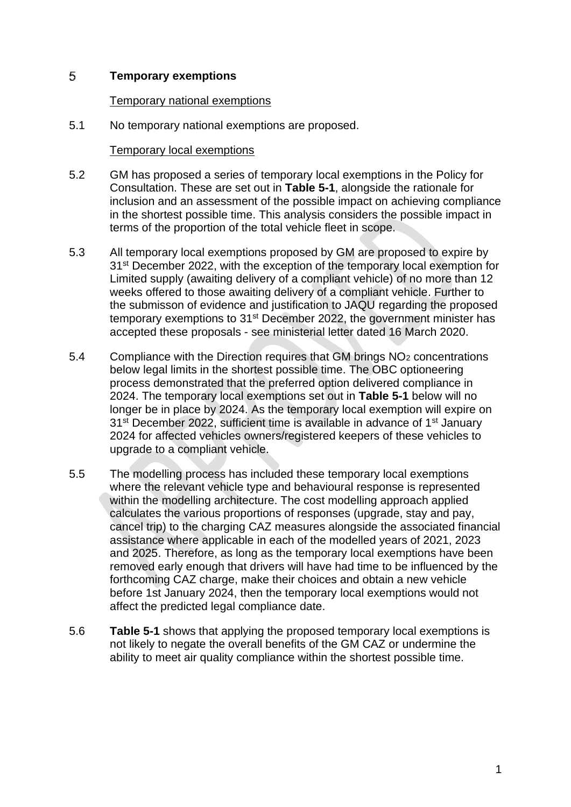#### 5 **Temporary exemptions**

## Temporary national exemptions

5.1 No temporary national exemptions are proposed.

# Temporary local exemptions

- 5.2 GM has proposed a series of temporary local exemptions in the Policy for Consultation. These are set out in **Table 5-1**, alongside the rationale for inclusion and an assessment of the possible impact on achieving compliance in the shortest possible time. This analysis considers the possible impact in terms of the proportion of the total vehicle fleet in scope.
- 5.3 All temporary local exemptions proposed by GM are proposed to expire by 31<sup>st</sup> December 2022, with the exception of the temporary local exemption for Limited supply (awaiting delivery of a compliant vehicle) of no more than 12 weeks offered to those awaiting delivery of a compliant vehicle. Further to the submisson of evidence and justification to JAQU regarding the proposed temporary exemptions to 31<sup>st</sup> December 2022, the government minister has accepted these proposals - see ministerial letter dated 16 March 2020.
- 5.4 Compliance with the Direction requires that GM brings  $NO<sub>2</sub>$  concentrations below legal limits in the shortest possible time. The OBC optioneering process demonstrated that the preferred option delivered compliance in 2024. The temporary local exemptions set out in **Table 5-1** below will no longer be in place by 2024. As the temporary local exemption will expire on 31<sup>st</sup> December 2022, sufficient time is available in advance of 1<sup>st</sup> January 2024 for affected vehicles owners/registered keepers of these vehicles to upgrade to a compliant vehicle.
- 5.5 The modelling process has included these temporary local exemptions where the relevant vehicle type and behavioural response is represented within the modelling architecture. The cost modelling approach applied calculates the various proportions of responses (upgrade, stay and pay, cancel trip) to the charging CAZ measures alongside the associated financial assistance where applicable in each of the modelled years of 2021, 2023 and 2025. Therefore, as long as the temporary local exemptions have been removed early enough that drivers will have had time to be influenced by the forthcoming CAZ charge, make their choices and obtain a new vehicle before 1st January 2024, then the temporary local exemptions would not affect the predicted legal compliance date.
- 5.6 **Table 5-1** shows that applying the proposed temporary local exemptions is not likely to negate the overall benefits of the GM CAZ or undermine the ability to meet air quality compliance within the shortest possible time.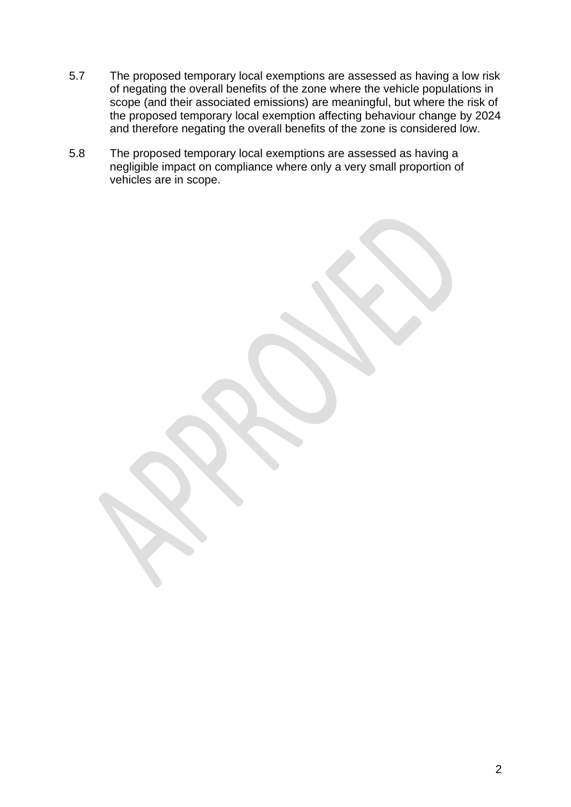- 5.7 The proposed temporary local exemptions are assessed as having a low risk of negating the overall benefits of the zone where the vehicle populations in scope (and their associated emissions) are meaningful, but where the risk of the proposed temporary local exemption affecting behaviour change by 2024 and therefore negating the overall benefits of the zone is considered low.
- 5.8 The proposed temporary local exemptions are assessed as having a negligible impact on compliance where only a very small proportion of vehicles are in scope.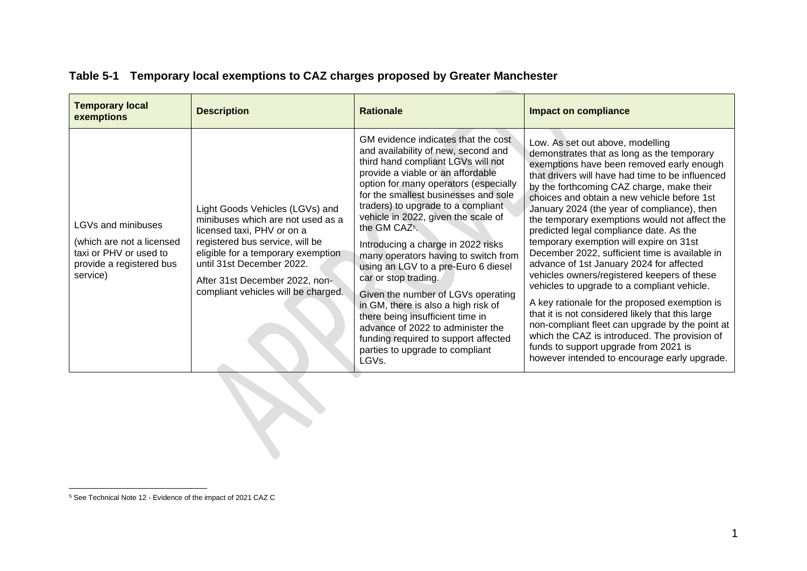| <b>Temporary local</b><br>exemptions                                                                              | <b>Description</b>                                                                                                                                                                                                                                                                | <b>Rationale</b>                                                                                                                                                                                                                                                                                                                                                                                                                                                                                                                                                                                                                                                                                                                        | <b>Impact on compliance</b>                                                                                                                                                                                                                                                                                                                                                                                                                                                                                                                                                                                                                                                                                                                                                                                                                                                                                                                                     |  |
|-------------------------------------------------------------------------------------------------------------------|-----------------------------------------------------------------------------------------------------------------------------------------------------------------------------------------------------------------------------------------------------------------------------------|-----------------------------------------------------------------------------------------------------------------------------------------------------------------------------------------------------------------------------------------------------------------------------------------------------------------------------------------------------------------------------------------------------------------------------------------------------------------------------------------------------------------------------------------------------------------------------------------------------------------------------------------------------------------------------------------------------------------------------------------|-----------------------------------------------------------------------------------------------------------------------------------------------------------------------------------------------------------------------------------------------------------------------------------------------------------------------------------------------------------------------------------------------------------------------------------------------------------------------------------------------------------------------------------------------------------------------------------------------------------------------------------------------------------------------------------------------------------------------------------------------------------------------------------------------------------------------------------------------------------------------------------------------------------------------------------------------------------------|--|
| LGVs and minibuses<br>(which are not a licensed<br>taxi or PHV or used to<br>provide a registered bus<br>service) | Light Goods Vehicles (LGVs) and<br>minibuses which are not used as a<br>licensed taxi, PHV or on a<br>registered bus service, will be<br>eligible for a temporary exemption<br>until 31st December 2022.<br>After 31st December 2022, non-<br>compliant vehicles will be charged. | GM evidence indicates that the cost<br>and availability of new, second and<br>third hand compliant LGVs will not<br>provide a viable or an affordable<br>option for many operators (especially<br>for the smallest businesses and sole<br>traders) to upgrade to a compliant<br>vehicle in 2022, given the scale of<br>the GM CAZ <sup>5</sup> .<br>Introducing a charge in 2022 risks<br>many operators having to switch from<br>using an LGV to a pre-Euro 6 diesel<br>car or stop trading.<br>Given the number of LGVs operating<br>in GM, there is also a high risk of<br>there being insufficient time in<br>advance of 2022 to administer the<br>funding required to support affected<br>parties to upgrade to compliant<br>LGVs. | Low. As set out above, modelling<br>demonstrates that as long as the temporary<br>exemptions have been removed early enough<br>that drivers will have had time to be influenced<br>by the forthcoming CAZ charge, make their<br>choices and obtain a new vehicle before 1st<br>January 2024 (the year of compliance), then<br>the temporary exemptions would not affect the<br>predicted legal compliance date. As the<br>temporary exemption will expire on 31st<br>December 2022, sufficient time is available in<br>advance of 1st January 2024 for affected<br>vehicles owners/registered keepers of these<br>vehicles to upgrade to a compliant vehicle.<br>A key rationale for the proposed exemption is<br>that it is not considered likely that this large<br>non-compliant fleet can upgrade by the point at<br>which the CAZ is introduced. The provision of<br>funds to support upgrade from 2021 is<br>however intended to encourage early upgrade. |  |
|                                                                                                                   |                                                                                                                                                                                                                                                                                   |                                                                                                                                                                                                                                                                                                                                                                                                                                                                                                                                                                                                                                                                                                                                         |                                                                                                                                                                                                                                                                                                                                                                                                                                                                                                                                                                                                                                                                                                                                                                                                                                                                                                                                                                 |  |

# **Table 5-1 Temporary local exemptions to CAZ charges proposed by Greater Manchester**

<sup>5</sup> See Technical Note 12 - Evidence of the impact of 2021 CAZ C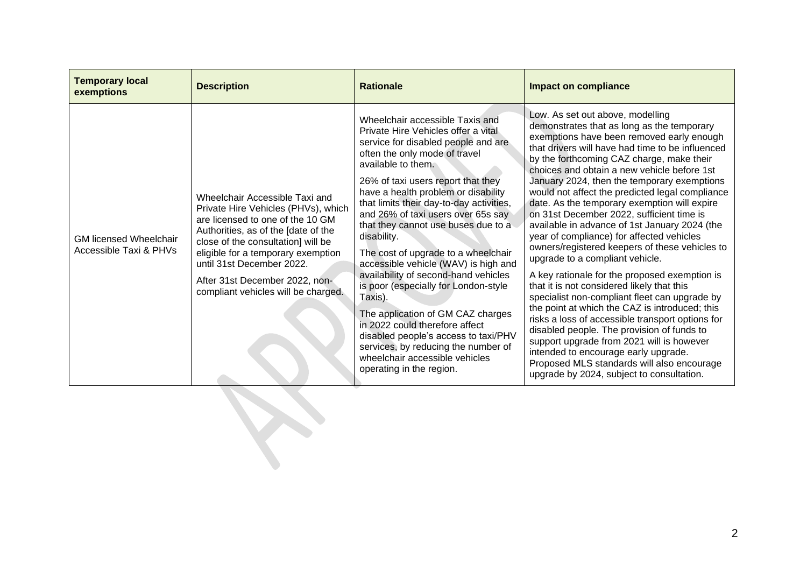| <b>Temporary local</b><br>exemptions                    | <b>Description</b>                                                                                                                                                                                                                                                                                                                 | <b>Rationale</b>                                                                                                                                                                                                                                                                                                                                                                                                                                                                                                                                                                                                                                                                                                                                                                        | <b>Impact on compliance</b>                                                                                                                                                                                                                                                                                                                                                                                                                                                                                                                                                                                                                                                                                                                                                                                                                                                                                                                                                                                                                                                                                                                       |
|---------------------------------------------------------|------------------------------------------------------------------------------------------------------------------------------------------------------------------------------------------------------------------------------------------------------------------------------------------------------------------------------------|-----------------------------------------------------------------------------------------------------------------------------------------------------------------------------------------------------------------------------------------------------------------------------------------------------------------------------------------------------------------------------------------------------------------------------------------------------------------------------------------------------------------------------------------------------------------------------------------------------------------------------------------------------------------------------------------------------------------------------------------------------------------------------------------|---------------------------------------------------------------------------------------------------------------------------------------------------------------------------------------------------------------------------------------------------------------------------------------------------------------------------------------------------------------------------------------------------------------------------------------------------------------------------------------------------------------------------------------------------------------------------------------------------------------------------------------------------------------------------------------------------------------------------------------------------------------------------------------------------------------------------------------------------------------------------------------------------------------------------------------------------------------------------------------------------------------------------------------------------------------------------------------------------------------------------------------------------|
| <b>GM licensed Wheelchair</b><br>Accessible Taxi & PHVs | Wheelchair Accessible Taxi and<br>Private Hire Vehicles (PHVs), which<br>are licensed to one of the 10 GM<br>Authorities, as of the [date of the<br>close of the consultation] will be<br>eligible for a temporary exemption<br>until 31st December 2022.<br>After 31st December 2022, non-<br>compliant vehicles will be charged. | Wheelchair accessible Taxis and<br>Private Hire Vehicles offer a vital<br>service for disabled people and are<br>often the only mode of travel<br>available to them.<br>26% of taxi users report that they<br>have a health problem or disability<br>that limits their day-to-day activities,<br>and 26% of taxi users over 65s say<br>that they cannot use buses due to a<br>disability.<br>The cost of upgrade to a wheelchair<br>accessible vehicle (WAV) is high and<br>availability of second-hand vehicles<br>is poor (especially for London-style<br>Taxis).<br>The application of GM CAZ charges<br>in 2022 could therefore affect<br>disabled people's access to taxi/PHV<br>services, by reducing the number of<br>wheelchair accessible vehicles<br>operating in the region. | Low. As set out above, modelling<br>demonstrates that as long as the temporary<br>exemptions have been removed early enough<br>that drivers will have had time to be influenced<br>by the forthcoming CAZ charge, make their<br>choices and obtain a new vehicle before 1st<br>January 2024, then the temporary exemptions<br>would not affect the predicted legal compliance<br>date. As the temporary exemption will expire<br>on 31st December 2022, sufficient time is<br>available in advance of 1st January 2024 (the<br>year of compliance) for affected vehicles<br>owners/registered keepers of these vehicles to<br>upgrade to a compliant vehicle.<br>A key rationale for the proposed exemption is<br>that it is not considered likely that this<br>specialist non-compliant fleet can upgrade by<br>the point at which the CAZ is introduced; this<br>risks a loss of accessible transport options for<br>disabled people. The provision of funds to<br>support upgrade from 2021 will is however<br>intended to encourage early upgrade.<br>Proposed MLS standards will also encourage<br>upgrade by 2024, subject to consultation. |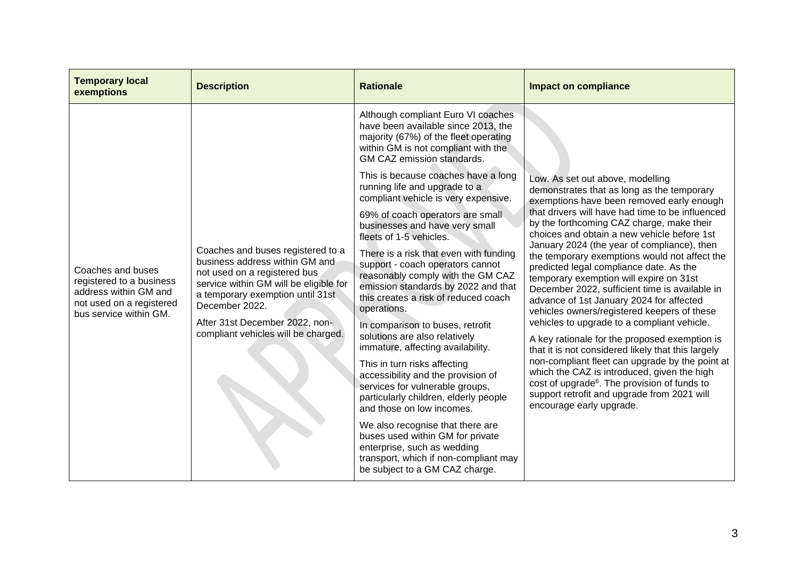| <b>Temporary local</b><br>exemptions                                                                                         | <b>Description</b>                                                                                                                                                                                                                                                           | <b>Rationale</b>                                                                                                                                                                                              | <b>Impact on compliance</b>                                                                                                                                                                                                                                                                                                                                                                                                                                                                                                                                                                                                                                                                                                    |
|------------------------------------------------------------------------------------------------------------------------------|------------------------------------------------------------------------------------------------------------------------------------------------------------------------------------------------------------------------------------------------------------------------------|---------------------------------------------------------------------------------------------------------------------------------------------------------------------------------------------------------------|--------------------------------------------------------------------------------------------------------------------------------------------------------------------------------------------------------------------------------------------------------------------------------------------------------------------------------------------------------------------------------------------------------------------------------------------------------------------------------------------------------------------------------------------------------------------------------------------------------------------------------------------------------------------------------------------------------------------------------|
|                                                                                                                              |                                                                                                                                                                                                                                                                              | Although compliant Euro VI coaches<br>have been available since 2013, the<br>majority (67%) of the fleet operating<br>within GM is not compliant with the<br>GM CAZ emission standards.                       |                                                                                                                                                                                                                                                                                                                                                                                                                                                                                                                                                                                                                                                                                                                                |
|                                                                                                                              |                                                                                                                                                                                                                                                                              | This is because coaches have a long<br>running life and upgrade to a<br>compliant vehicle is very expensive.                                                                                                  | Low. As set out above, modelling<br>demonstrates that as long as the temporary<br>exemptions have been removed early enough                                                                                                                                                                                                                                                                                                                                                                                                                                                                                                                                                                                                    |
| Coaches and buses<br>registered to a business<br>address within GM and<br>not used on a registered<br>bus service within GM. | Coaches and buses registered to a<br>business address within GM and<br>not used on a registered bus<br>service within GM will be eligible for<br>a temporary exemption until 31st<br>December 2022.<br>After 31st December 2022, non-<br>compliant vehicles will be charged. | 69% of coach operators are small<br>businesses and have very small<br>fleets of 1-5 vehicles.                                                                                                                 | that drivers will have had time to be influenced<br>by the forthcoming CAZ charge, make their<br>choices and obtain a new vehicle before 1st                                                                                                                                                                                                                                                                                                                                                                                                                                                                                                                                                                                   |
|                                                                                                                              |                                                                                                                                                                                                                                                                              | There is a risk that even with funding<br>support - coach operators cannot<br>reasonably comply with the GM CAZ<br>emission standards by 2022 and that<br>this creates a risk of reduced coach<br>operations. | January 2024 (the year of compliance), then<br>the temporary exemptions would not affect the<br>predicted legal compliance date. As the<br>temporary exemption will expire on 31st<br>December 2022, sufficient time is available in<br>advance of 1st January 2024 for affected<br>vehicles owners/registered keepers of these<br>vehicles to upgrade to a compliant vehicle.<br>A key rationale for the proposed exemption is<br>that it is not considered likely that this largely<br>non-compliant fleet can upgrade by the point at<br>which the CAZ is introduced, given the high<br>cost of upgrade <sup>6</sup> . The provision of funds to<br>support retrofit and upgrade from 2021 will<br>encourage early upgrade. |
|                                                                                                                              |                                                                                                                                                                                                                                                                              | In comparison to buses, retrofit<br>solutions are also relatively<br>immature, affecting availability.                                                                                                        |                                                                                                                                                                                                                                                                                                                                                                                                                                                                                                                                                                                                                                                                                                                                |
|                                                                                                                              |                                                                                                                                                                                                                                                                              | This in turn risks affecting<br>accessibility and the provision of<br>services for vulnerable groups,<br>particularly children, elderly people<br>and those on low incomes.                                   |                                                                                                                                                                                                                                                                                                                                                                                                                                                                                                                                                                                                                                                                                                                                |
|                                                                                                                              |                                                                                                                                                                                                                                                                              | We also recognise that there are<br>buses used within GM for private<br>enterprise, such as wedding<br>transport, which if non-compliant may<br>be subject to a GM CAZ charge.                                |                                                                                                                                                                                                                                                                                                                                                                                                                                                                                                                                                                                                                                                                                                                                |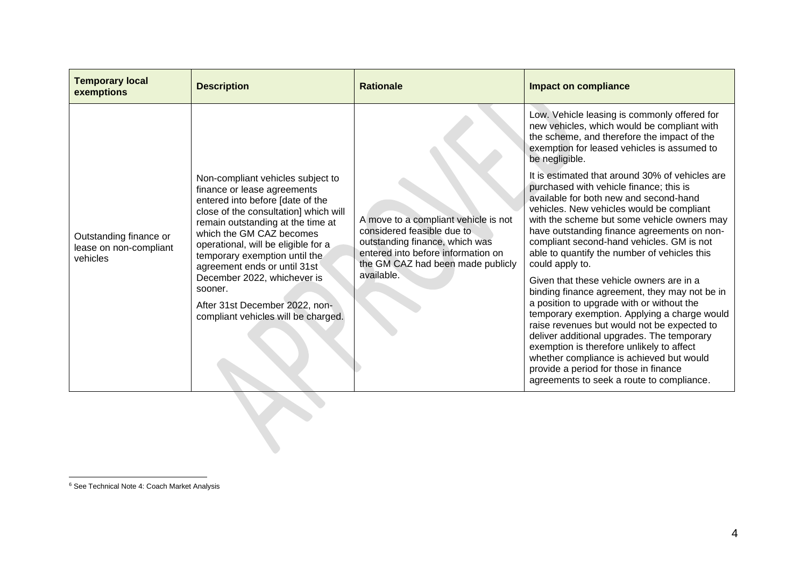| <b>Temporary local</b><br>exemptions                         | <b>Description</b>                                                                                                                                                                                                                                                                                                                                                                                                                        | <b>Rationale</b>                                                                                                                                                                              | <b>Impact on compliance</b>                                                                                                                                                                                                                                                                                                                                                                                                                                        |
|--------------------------------------------------------------|-------------------------------------------------------------------------------------------------------------------------------------------------------------------------------------------------------------------------------------------------------------------------------------------------------------------------------------------------------------------------------------------------------------------------------------------|-----------------------------------------------------------------------------------------------------------------------------------------------------------------------------------------------|--------------------------------------------------------------------------------------------------------------------------------------------------------------------------------------------------------------------------------------------------------------------------------------------------------------------------------------------------------------------------------------------------------------------------------------------------------------------|
| Outstanding finance or<br>lease on non-compliant<br>vehicles | Non-compliant vehicles subject to<br>finance or lease agreements<br>entered into before [date of the<br>close of the consultation] which will<br>remain outstanding at the time at<br>which the GM CAZ becomes<br>operational, will be eligible for a<br>temporary exemption until the<br>agreement ends or until 31st<br>December 2022, whichever is<br>sooner.<br>After 31st December 2022, non-<br>compliant vehicles will be charged. | A move to a compliant vehicle is not<br>considered feasible due to<br>outstanding finance, which was<br>entered into before information on<br>the GM CAZ had been made publicly<br>available. | Low. Vehicle leasing is commonly offered for<br>new vehicles, which would be compliant with<br>the scheme, and therefore the impact of the<br>exemption for leased vehicles is assumed to<br>be negligible.                                                                                                                                                                                                                                                        |
|                                                              |                                                                                                                                                                                                                                                                                                                                                                                                                                           |                                                                                                                                                                                               | It is estimated that around 30% of vehicles are<br>purchased with vehicle finance; this is<br>available for both new and second-hand<br>vehicles. New vehicles would be compliant<br>with the scheme but some vehicle owners may<br>have outstanding finance agreements on non-<br>compliant second-hand vehicles. GM is not<br>able to quantify the number of vehicles this<br>could apply to.                                                                    |
|                                                              |                                                                                                                                                                                                                                                                                                                                                                                                                                           |                                                                                                                                                                                               | Given that these vehicle owners are in a<br>binding finance agreement, they may not be in<br>a position to upgrade with or without the<br>temporary exemption. Applying a charge would<br>raise revenues but would not be expected to<br>deliver additional upgrades. The temporary<br>exemption is therefore unlikely to affect<br>whether compliance is achieved but would<br>provide a period for those in finance<br>agreements to seek a route to compliance. |

B

<sup>6</sup> See Technical Note 4: Coach Market Analysis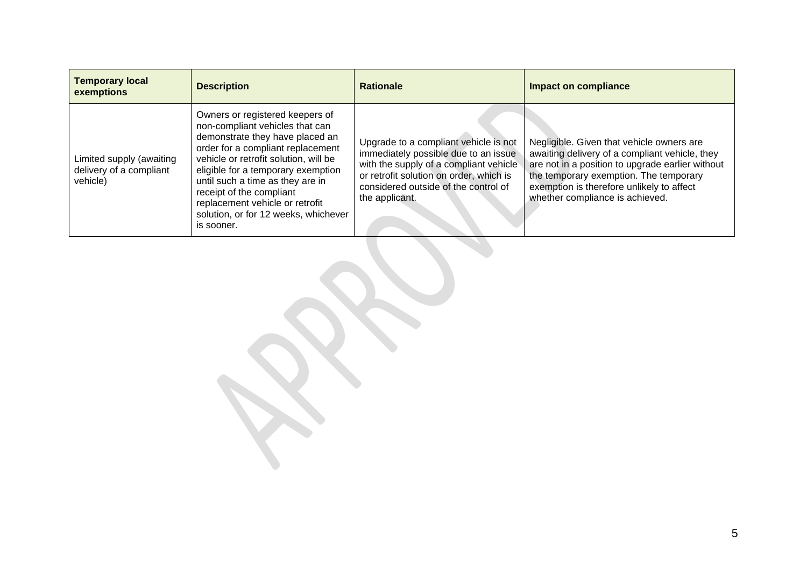| <b>Temporary local</b><br>exemptions                            | <b>Description</b>                                                                                                                                                                                                                                                                                                                                                                 | <b>Rationale</b>                                                                                                                                                                                                             | <b>Impact on compliance</b>                                                                                                                                                                                                                                               |
|-----------------------------------------------------------------|------------------------------------------------------------------------------------------------------------------------------------------------------------------------------------------------------------------------------------------------------------------------------------------------------------------------------------------------------------------------------------|------------------------------------------------------------------------------------------------------------------------------------------------------------------------------------------------------------------------------|---------------------------------------------------------------------------------------------------------------------------------------------------------------------------------------------------------------------------------------------------------------------------|
| Limited supply (awaiting<br>delivery of a compliant<br>vehicle) | Owners or registered keepers of<br>non-compliant vehicles that can<br>demonstrate they have placed an<br>order for a compliant replacement<br>vehicle or retrofit solution, will be<br>eligible for a temporary exemption<br>until such a time as they are in<br>receipt of the compliant<br>replacement vehicle or retrofit<br>solution, or for 12 weeks, whichever<br>is sooner. | Upgrade to a compliant vehicle is not<br>immediately possible due to an issue<br>with the supply of a compliant vehicle<br>or retrofit solution on order, which is<br>considered outside of the control of<br>the applicant. | Negligible. Given that vehicle owners are<br>awaiting delivery of a compliant vehicle, they<br>are not in a position to upgrade earlier without<br>the temporary exemption. The temporary<br>exemption is therefore unlikely to affect<br>whether compliance is achieved. |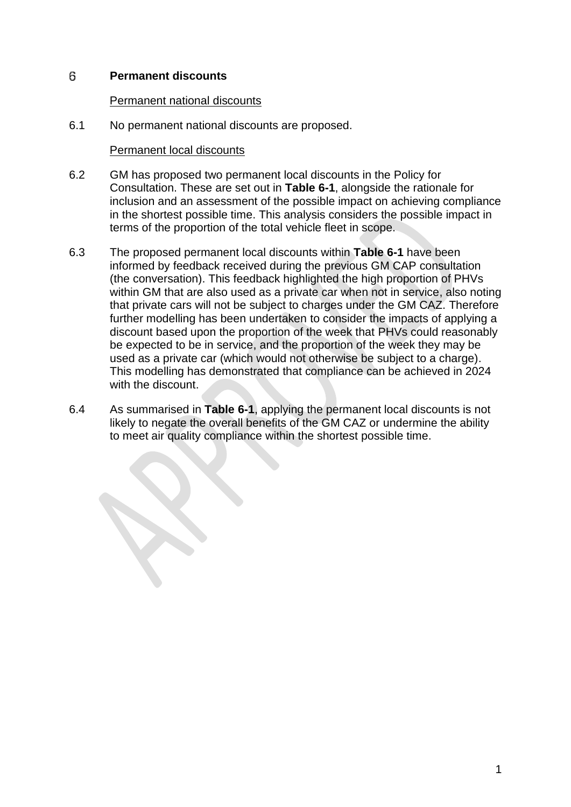#### 6 **Permanent discounts**

## Permanent national discounts

6.1 No permanent national discounts are proposed.

# Permanent local discounts

- 6.2 GM has proposed two permanent local discounts in the Policy for Consultation. These are set out in **Table 6-1**, alongside the rationale for inclusion and an assessment of the possible impact on achieving compliance in the shortest possible time. This analysis considers the possible impact in terms of the proportion of the total vehicle fleet in scope.
- 6.3 The proposed permanent local discounts within **Table 6-1** have been informed by feedback received during the previous GM CAP consultation (the conversation). This feedback highlighted the high proportion of PHVs within GM that are also used as a private car when not in service, also noting that private cars will not be subject to charges under the GM CAZ. Therefore further modelling has been undertaken to consider the impacts of applying a discount based upon the proportion of the week that PHVs could reasonably be expected to be in service, and the proportion of the week they may be used as a private car (which would not otherwise be subject to a charge). This modelling has demonstrated that compliance can be achieved in 2024 with the discount.
- 6.4 As summarised in **Table 6-1**, applying the permanent local discounts is not likely to negate the overall benefits of the GM CAZ or undermine the ability to meet air quality compliance within the shortest possible time.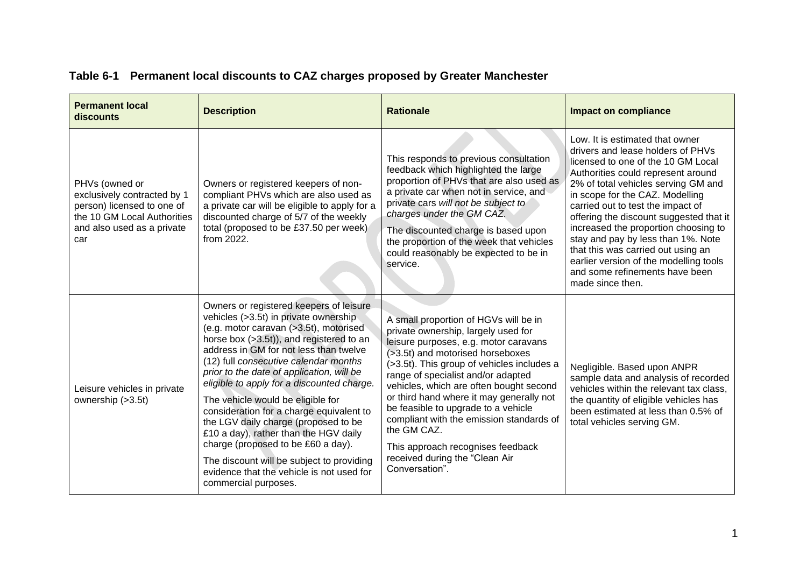| <b>Permanent local</b><br>discounts                                                                                                             | <b>Description</b>                                                                                                                                                                                                                                                                                                                                                                                                                                                                                                                                                                                                                                                             | <b>Rationale</b>                                                                                                                                                                                                                                                                                                                                                                                                                                                                                                                | <b>Impact on compliance</b>                                                                                                                                                                                                                                                                                                                                                                                                                                                                                                    |
|-------------------------------------------------------------------------------------------------------------------------------------------------|--------------------------------------------------------------------------------------------------------------------------------------------------------------------------------------------------------------------------------------------------------------------------------------------------------------------------------------------------------------------------------------------------------------------------------------------------------------------------------------------------------------------------------------------------------------------------------------------------------------------------------------------------------------------------------|---------------------------------------------------------------------------------------------------------------------------------------------------------------------------------------------------------------------------------------------------------------------------------------------------------------------------------------------------------------------------------------------------------------------------------------------------------------------------------------------------------------------------------|--------------------------------------------------------------------------------------------------------------------------------------------------------------------------------------------------------------------------------------------------------------------------------------------------------------------------------------------------------------------------------------------------------------------------------------------------------------------------------------------------------------------------------|
| PHVs (owned or<br>exclusively contracted by 1<br>person) licensed to one of<br>the 10 GM Local Authorities<br>and also used as a private<br>car | Owners or registered keepers of non-<br>compliant PHVs which are also used as<br>a private car will be eligible to apply for a<br>discounted charge of 5/7 of the weekly<br>total (proposed to be £37.50 per week)<br>from 2022.                                                                                                                                                                                                                                                                                                                                                                                                                                               | This responds to previous consultation<br>feedback which highlighted the large<br>proportion of PHVs that are also used as<br>a private car when not in service, and<br>private cars will not be subject to<br>charges under the GM CAZ.<br>The discounted charge is based upon<br>the proportion of the week that vehicles<br>could reasonably be expected to be in<br>service.                                                                                                                                                | Low. It is estimated that owner<br>drivers and lease holders of PHVs<br>licensed to one of the 10 GM Local<br>Authorities could represent around<br>2% of total vehicles serving GM and<br>in scope for the CAZ. Modelling<br>carried out to test the impact of<br>offering the discount suggested that it<br>increased the proportion choosing to<br>stay and pay by less than 1%. Note<br>that this was carried out using an<br>earlier version of the modelling tools<br>and some refinements have been<br>made since then. |
| Leisure vehicles in private<br>ownership (>3.5t)                                                                                                | Owners or registered keepers of leisure<br>vehicles (>3.5t) in private ownership<br>(e.g. motor caravan (>3.5t), motorised<br>horse box (>3.5t)), and registered to an<br>address in GM for not less than twelve<br>(12) full consecutive calendar months<br>prior to the date of application, will be<br>eligible to apply for a discounted charge.<br>The vehicle would be eligible for<br>consideration for a charge equivalent to<br>the LGV daily charge (proposed to be<br>£10 a day), rather than the HGV daily<br>charge (proposed to be £60 a day).<br>The discount will be subject to providing<br>evidence that the vehicle is not used for<br>commercial purposes. | A small proportion of HGVs will be in<br>private ownership, largely used for<br>leisure purposes, e.g. motor caravans<br>(>3.5t) and motorised horseboxes<br>(>3.5t). This group of vehicles includes a<br>range of specialist and/or adapted<br>vehicles, which are often bought second<br>or third hand where it may generally not<br>be feasible to upgrade to a vehicle<br>compliant with the emission standards of<br>the GM CAZ.<br>This approach recognises feedback<br>received during the "Clean Air<br>Conversation". | Negligible. Based upon ANPR<br>sample data and analysis of recorded<br>vehicles within the relevant tax class.<br>the quantity of eligible vehicles has<br>been estimated at less than 0.5% of<br>total vehicles serving GM.                                                                                                                                                                                                                                                                                                   |

# **Table 6-1 Permanent local discounts to CAZ charges proposed by Greater Manchester**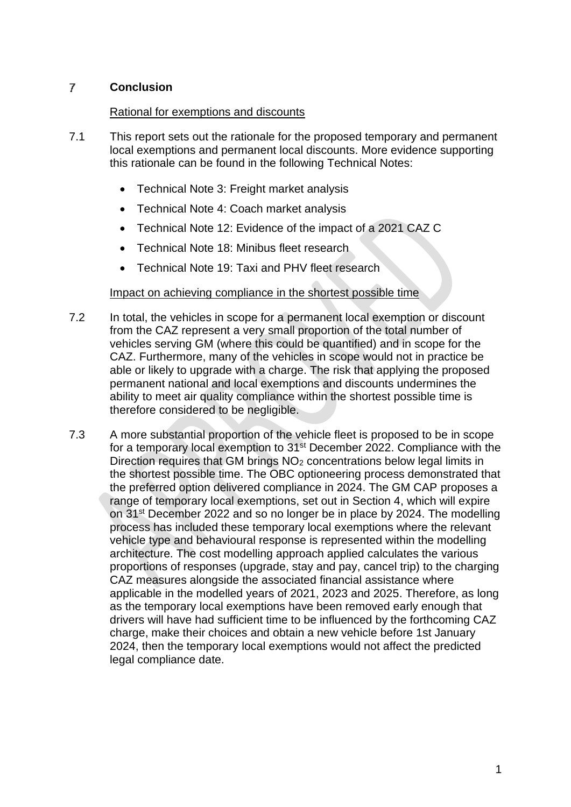#### $\overline{I}$ **Conclusion**

# Rational for exemptions and discounts

- 7.1 This report sets out the rationale for the proposed temporary and permanent local exemptions and permanent local discounts. More evidence supporting this rationale can be found in the following Technical Notes:
	- Technical Note 3: Freight market analysis
	- Technical Note 4: Coach market analysis
	- Technical Note 12: Evidence of the impact of a 2021 CAZ C
	- Technical Note 18: Minibus fleet research
	- Technical Note 19: Taxi and PHV fleet research

# Impact on achieving compliance in the shortest possible time

- 7.2 In total, the vehicles in scope for a permanent local exemption or discount from the CAZ represent a very small proportion of the total number of vehicles serving GM (where this could be quantified) and in scope for the CAZ. Furthermore, many of the vehicles in scope would not in practice be able or likely to upgrade with a charge. The risk that applying the proposed permanent national and local exemptions and discounts undermines the ability to meet air quality compliance within the shortest possible time is therefore considered to be negligible.
- 7.3 A more substantial proportion of the vehicle fleet is proposed to be in scope for a temporary local exemption to 31st December 2022. Compliance with the Direction requires that GM brings NO<sub>2</sub> concentrations below legal limits in the shortest possible time. The OBC optioneering process demonstrated that the preferred option delivered compliance in 2024. The GM CAP proposes a range of temporary local exemptions, set out in Section 4, which will expire on 31<sup>st</sup> December 2022 and so no longer be in place by 2024. The modelling process has included these temporary local exemptions where the relevant vehicle type and behavioural response is represented within the modelling architecture. The cost modelling approach applied calculates the various proportions of responses (upgrade, stay and pay, cancel trip) to the charging CAZ measures alongside the associated financial assistance where applicable in the modelled years of 2021, 2023 and 2025. Therefore, as long as the temporary local exemptions have been removed early enough that drivers will have had sufficient time to be influenced by the forthcoming CAZ charge, make their choices and obtain a new vehicle before 1st January 2024, then the temporary local exemptions would not affect the predicted legal compliance date.